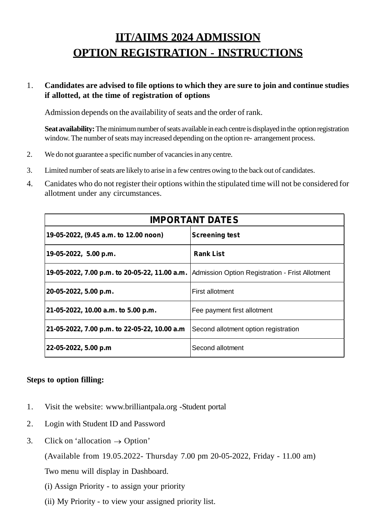# **IIT/AIIMS 2024 ADMISSION OPTION REGISTRATION - INSTRUCTIONS**

### 1. **Candidates are advised to file options to which they are sure to join and continue studies if allotted, at the time of registration of options**

Admission depends on the availability of seats and the order of rank.

**Seat availability:**The minimum number of seats available in each centre is displayed in the option registration window. The number of seats may increased depending on the option re- arrangement process.

- 2. We do not guarantee a specific number of vacancies in any centre.
- 3. Limited number of seats are likely to arise in a few centres owing to the back out of candidates.
- 4. Canidates who do not register their options within the stipulated time will not be considered for allotment under any circumstances.

|                                                                                               | <b>IMPORTANT DATES</b>               |
|-----------------------------------------------------------------------------------------------|--------------------------------------|
| 19-05-2022, (9.45 a.m. to 12.00 noon)                                                         | <b>Screening test</b>                |
| 19-05-2022, 5.00 p.m.                                                                         | <b>Rank List</b>                     |
| 19-05-2022, 7.00 p.m. to 20-05-22, 11.00 a.m. Admission Option Registration - Frist Allotment |                                      |
| 20-05-2022, 5.00 p.m.                                                                         | First allotment                      |
| 21-05-2022, 10.00 a.m. to 5.00 p.m.                                                           | Fee payment first allotment          |
| 21-05-2022, 7.00 p.m. to 22-05-22, 10.00 a.m                                                  | Second allotment option registration |
| 22-05-2022, 5.00 p.m                                                                          | Second allotment                     |

#### **Steps to option filling:**

- 1. Visit the website: www.brilliantpala.org -Student portal
- 2. Login with Student ID and Password
- 3. Click on 'allocation  $\rightarrow$  Option'

(Available from 19.05.2022- Thursday 7.00 pm 20-05-2022, Friday - 11.00 am)

Two menu will display in Dashboard.

- (i) Assign Priority to assign your priority
- (ii) My Priority to view your assigned priority list.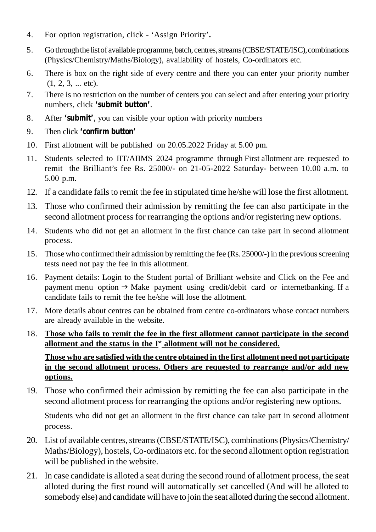- 4. For option registration, click 'Assign Priority'**.**
- 5. Gothroughthelistof availableprogramme, batch, centres,streams(CBSE/STATE/ISC),combinations (Physics/Chemistry/Maths/Biology), availability of hostels, Co-ordinators etc.
- 6. There is box on the right side of every centre and there you can enter your priority number  $(1, 2, 3, \dots$  etc).
- 7. There is no restriction on the number of centers you can select and after entering your priority numbers, click **'submit button'**.
- 8. After **'submit'**, you can visible your option with priority numbers
- 9. Then click **'confirm button'**
- 10. First allotment will be published on 20.05.2022 Friday at 5.00 pm.
- 11. Students selected to IIT/AIIMS 2024 programme through First allotment are requested to remit the Brilliant's fee Rs. 25000/- on 21-05-2022 Saturday- between 10.00 a.m. to 5.00 p.m.
- 12. If a candidate fails to remit the fee in stipulated time he/she will lose the first allotment.
- 13. Those who confirmed their admission by remitting the fee can also participate in the second allotment process for rearranging the options and/or registering new options.
- 14. Students who did not get an allotment in the first chance can take part in second allotment process.
- 15. Those who confirmed their admission by remitting the fee (Rs. 25000/-) in the previous screening tests need not pay the fee in this allottment.
- 16. Payment details: Login to the Student portal of Brilliant website and Click on the Fee and payment menu option  $\rightarrow$  Make payment using credit/debit card or internetbanking. If a candidate fails to remit the fee he/she will lose the allotment.
- 17. More details about centres can be obtained from centre co-ordinators whose contact numbers are already available in the website.
- 18. **Those who fails to remit the fee in the first allotment cannot participate in the second allotment and the status in the Ist allotment will not be considered.**

**Those who are satisfied with the centre obtained in the first allotment need not participate in the second allotment process. Others are requested to rearrange and/or add new options.**

19. Those who confirmed their admission by remitting the fee can also participate in the second allotment process for rearranging the options and/or registering new options.

Students who did not get an allotment in the first chance can take part in second allotment process.

- 20. List of available centres, streams (CBSE/STATE/ISC), combinations (Physics/Chemistry/ Maths/Biology), hostels, Co-ordinators etc. for the second allotment option registration will be published in the website.
- 21. In case candidate is alloted a seat during the second round of allotment process, the seat alloted during the first round will automatically set cancelled (And will be alloted to somebody else) and candidate will have to join the seat alloted during the second allotment.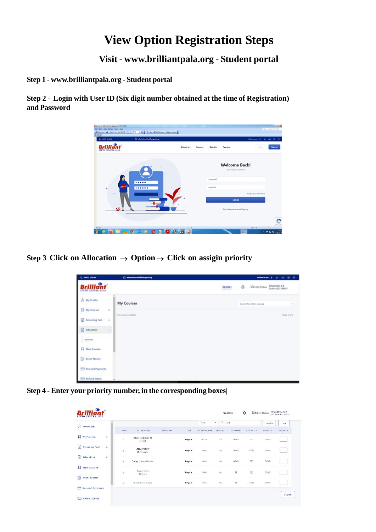## **View Option Registration Steps**

**Visit - www.brilliantpala.org - Student portal**

**Step 1 - www.brilliantpala.org - Student portal**

**Step 2 - Login with User ID (Six digit number obtained at the time of Registration) and Password**

| L. MASS SHOW       | <sup>(3</sup> admissions@brilliampdo.org |          |         |                   |                                                     | <b>Newcast 2 0 0 9 9</b>      |         |
|--------------------|------------------------------------------|----------|---------|-------------------|-----------------------------------------------------|-------------------------------|---------|
| STUDY CENTRE, PALA |                                          | About us | Courses | Results           | Centers                                             | <b>Sept</b>                   | Sign up |
|                    |                                          |          |         |                   | <b>Welcome Back!</b><br>Light with your student 21. |                               |         |
|                    |                                          |          |         | Student (D.T.     |                                                     |                               |         |
| $\mathbf{r}$       |                                          |          |         | <b>Fastward</b> 1 |                                                     | <b>Forget your personnel!</b> |         |
|                    |                                          |          |         |                   | LOGIN<br>David have an account? Sign up             |                               |         |
|                    |                                          |          |         |                   |                                                     |                               |         |

**Step 3 Click on Allocation**  $\rightarrow$  **Option** $\rightarrow$  **Click on assigin priority** 

| L. MAIZZIKIMI                         | [3] admissions Offer Elsergeds.org                         | <b>Information # 27 (8) 10 10 10</b>                                     |
|---------------------------------------|------------------------------------------------------------|--------------------------------------------------------------------------|
| rilliant<br><b>STUDY CENTRE, BILA</b> |                                                            | DEVAPROVA G.R.<br>Student ID: 200007<br>۵<br>Schoolie Picture<br>Courses |
| A My Profile                          | My Courses                                                 | Search for other courses<br>$\sim$                                       |
| <b>Q</b> My Courses                   | ٠<br><b>D</b> Cromer analysis<br><b>Contract Executive</b> | Page Lot L                                                               |
| <b>C</b> Screening Text<br>Allocation | $\sim$                                                     |                                                                          |
| Options<br>2022 Q.H                   | ×.                                                         |                                                                          |
| <b>C. New Courses</b>                 |                                                            |                                                                          |
| <b>Count Master</b>                   |                                                            |                                                                          |
| The and Payments:                     |                                                            |                                                                          |
| <b>Behand Station</b>                 |                                                            |                                                                          |

**Step 4 - Enter your priority number, in the corresponding boxes|**

| $A$ My Profile          |           |                      |                                 |                                    |                    | Type                    | Q Search<br>¥. |                             |              | search          | clear    |
|-------------------------|-----------|----------------------|---------------------------------|------------------------------------|--------------------|-------------------------|----------------|-----------------------------|--------------|-----------------|----------|
|                         |           | -5 NO                | <b>CENTER NAME</b>              | <b>STANDARD</b><br><b>LOCATION</b> | <b>TYPE</b>        | 2nd LANGUAGE            | HUS I.L.       | <b>STREAMS</b>              | SYALLABUS    | <b>SUBJECTS</b> | PRIORITY |
| My Courses              | ÷         | o.                   | Lisisux Matriculation<br>School |                                    | Requier            | French                  | Yes            | ABS                         | <b>ISC</b>   | FCMB            |          |
| <b>Screening Test</b>   | ÷         | Ł                    | Changarassery<br>Cheftipuzh:    |                                    | tecches<br>Regular | <b>CONTROL</b><br>Hindi | YOS            | xeco<br>$\Delta \text{D-S}$ | 1000<br>cess | 034591<br>FONS  | -        |
| Allocation              | $\ddot{}$ | 3                    | Changenassery Klimaia           |                                    | <b>Degutor</b>     | Hindi                   | Yes.           | AB-IS                       | SC.          | FCMB            |          |
| <b>New Courses</b>      |           | $\ddot{\phantom{a}}$ | Changarassey<br>Trencuria       |                                    | <b>Begular</b>     | Hindi                   | oos.<br>Yes    | $\mathbb{I}^{\dagger}$      | ise.         | 20203<br>FCM6   |          |
| <b>Event Master</b>     |           | s.                   | Emakulanı Kakkanad              |                                    | Dapaha             | Hindi                   | No.            | $_{\rm{IT}}$                | CBSE         | FOMB            |          |
| <b>Fee and Payments</b> |           |                      |                                 |                                    |                    |                         |                |                             |              |                 |          |